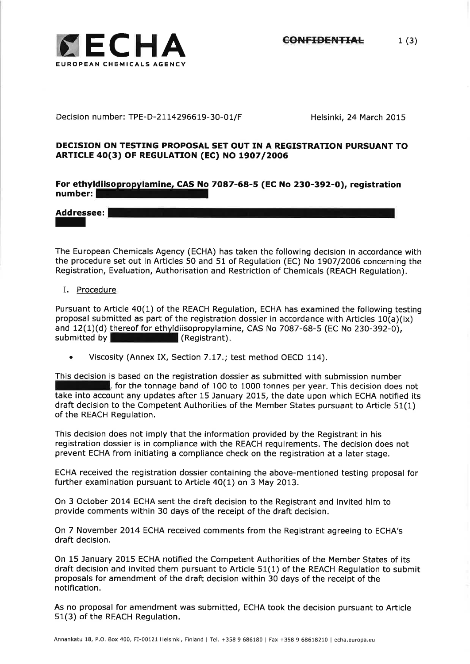

Decision number: TPE-D-21 14296619-30-01/F Helsinki, 24 March 2015

# DECISION ON TESTING PROPOSAL SET OUT IN A REGISTRATION PURSUANT TO ARTICLE 40(3) OF REGULATION (EC) NO 1907/2006

For ethyl<u>diisopropylamine, CAS No</u> 7087-68-5 (EC No 230-392-0), registratior number:

Addressee: I

The European Chemicals Agency (ECHA) has taken the following decision in accordance with the procedure set out in Articles 50 and 51 of Regulation (EC) No L9O7/2006 concerning the Registration, Evaluation, Authorisation and Restriction of Chemicals (REACH Regulation).

## I. Procedure

Pursuant to Article 40(1) of the REACH Regulation, ECHA has examined the following testing proposal submitted as part of the registration dossier in accordance with Articles  $10(a)(ix)$ and 12(1)(d) thereof for ethyldiisopropylamine, CAS No 7087-68-5 (EC No 230-392-0), submitted by **Example 2018** (Registrant).

Viscosity (Annex IX, Section 7.17.; test method OECD 114).

This decision is based on the registration dossier as submitted with submission number for the tonnage band of 100 to 1000 tonnes per year. This decision does not take into account any updates after 15 January 2015, the date upon which ECHA notified its draft decision to the Competent Authorities of the Member States pursuant to Article 51(1) of the REACH Regulation,

This decision does not imply that the information provided by the Registrant in his registration dossier is in compliance with the REACH requirements. The decision does not prevent ECHA from initiating a compliance check on the registration at a later stage.

ECHA received the registration dossier containing the above-mentioned testing proposal for further examination pursuant to Article  $40(1)$  on 3 May 2013.

On 3 October 2Ol4 ECHA sent the draft decision to the Registrant and invited him to provide comments within 30 days of the receipt of the draft decision.

On 7 November 2014 ECHA received comments from the Registrant agreeing to ECHA's draft decision.

On 15 January 2015 ECHA notified the Competent Authorities of the Member States of its draft decision and invited them pursuant to Article 51(1) of the REACH Regulation to submit proposals for amendment of the draft decision within 30 days of the receipt of the notification.

As no proposal for amendment was submitted, ECHA took the decision pursuant to Article 51(3) of the REACH Regulation,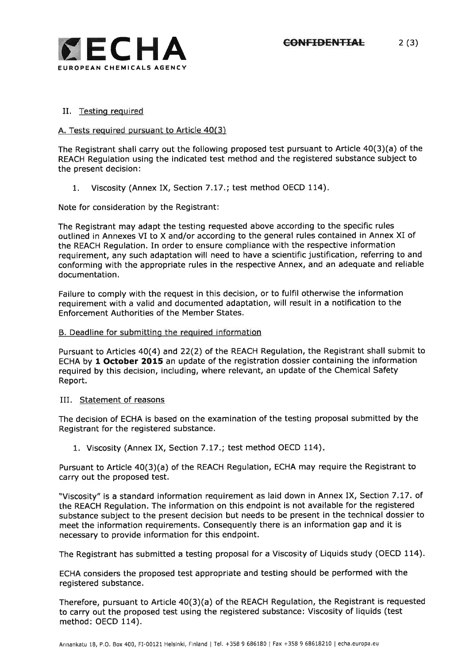

# IL Testing required

# A. Tests required pursuant to Article 40(3)

The Registrant shall carry out the following proposed test pursuant to Article 40(3)(a) of the REACH Regulation using the indicated test method and the registered substance subject to the present decision:

1. Viscosity (Annex IX, Section 7.17.; test method OECD 114)

Note for consideration by the Registrant:

The Registrant may adapt the testing requested above according to the specific rules outlined in Annexes VI to X and/or according to the general rules contained in Annex XI of the REACH Regulation, In order to ensure compliance with the respective information requirement, any such adaptation will need to have a scientific justification, referring to and conforming with the appropriate rules in the respective Annex, and an adequate and reliable documentation.

Failure to comply with the request in this decision, or to fulfil otherwise the information requirement with a valid and documented adaptation, will result in a notification to the Enforcement Authorities of the Member States.

### B. Deadline for submitting the required information

Pursuant to Articles 4O(4) and 22(2) of the REACH Regulation, the Registrant shall submit to ECHA by 1 October 2O15 an update of the registration dossier containing the information required by this decision, including, where relevant, an update of the Chemical Safety Report.

#### IIL Statement of reasons

The decision of ECHA is based on the examination of the testing proposal submitted by the Registrant for the registered substance.

1. Viscosity (Annex IX, Section 7.17.; test method OECD 114).

Pursuant to Article 40(3)(a) of the REACH Regulation, ECHA may require the Registrant to carry out the proposed test.

"Viscosity" is a standard information requirement as laid down in Annex IX, Section 7.17. of the REACH Regulation. The information on this endpoint is not available for the registered substance subject to the present decision but needs to be present in the technical dossier to meet the information requirements. Consequently there is an information gap and it is necessary to provide information for this endpoint.

The Registrant has submitted a testing proposal for a Viscosity of Liquids study (OECD 114).

ECHA considers the proposed test appropriate and testing should be performed with the registered substance.

Therefore, pursuant to Article 40(3)(a) of the REACH Regulation, the Registrant is requested to carry out the proposed test using the registered substance: Viscosity of liquids (test method: OECD 114).